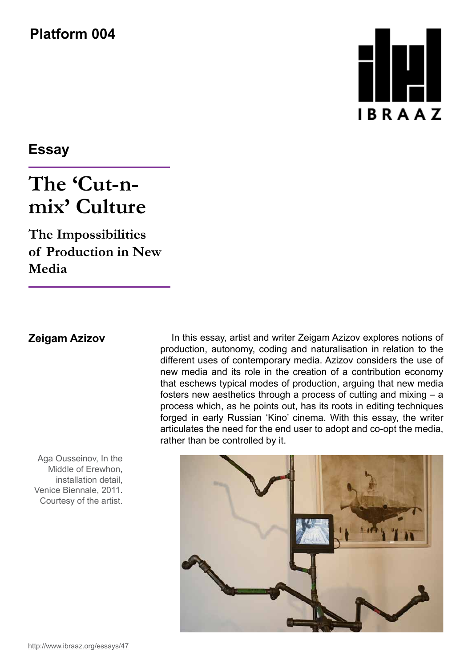**Platform 004**

## Ш **IBRAAZ**

**Essay**

## **The 'Cut-nmix' Culture**

**The Impossibilities of Production in New Media**

Aga Ousseinov, In the Middle of Erewhon, installation detail, Venice Biennale, 2011. Courtesy of the artist.

**Zeigam Azizov** In this essay, artist and writer Zeigam Azizov explores notions of production, autonomy, coding and naturalisation in relation to the different uses of contemporary media. Azizov considers the use of new media and its role in the creation of a contribution economy that eschews typical modes of production, arguing that new media fosters new aesthetics through a process of cutting and mixing – a process which, as he points out, has its roots in editing techniques forged in early Russian 'Kino' cinema. With this essay, the writer articulates the need for the end user to adopt and co-opt the media, rather than be controlled by it.

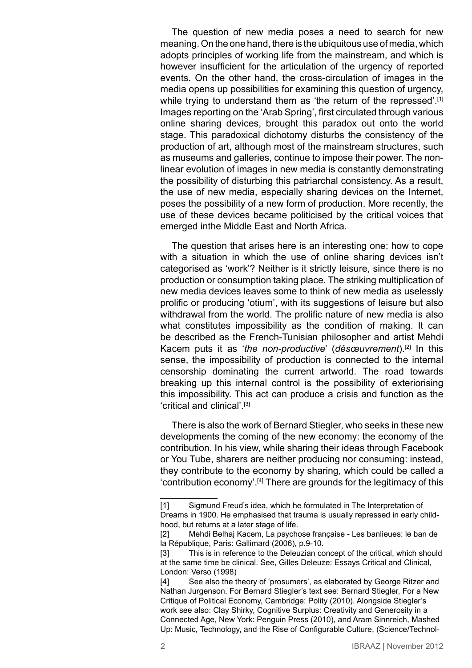The question of new media poses a need to search for new meaning. On the one hand, there is the ubiquitous use of media, which adopts principles of working life from the mainstream, and which is however insufficient for the articulation of the urgency of reported events. On the other hand, the cross-circulation of images in the media opens up possibilities for examining this question of urgency, while trying to understand them as 'the return of the repressed'.<sup>[1]</sup> Images reporting on the 'Arab Spring', first circulated through various online sharing devices, brought this paradox out onto the world stage. This paradoxical dichotomy disturbs the consistency of the production of art, although most of the mainstream structures, such as museums and galleries, continue to impose their power. The nonlinear evolution of images in new media is constantly demonstrating the possibility of disturbing this patriarchal consistency. As a result, the use of new media, especially sharing devices on the Internet, poses the possibility of a new form of production. More recently, the use of these devices became politicised by the critical voices that emerged inthe Middle East and North Africa.

The question that arises here is an interesting one: how to cope with a situation in which the use of online sharing devices isn't categorised as 'work'? Neither is it strictly leisure, since there is no production or consumption taking place. The striking multiplication of new media devices leaves some to think of new media as uselessly prolific or producing 'otium', with its suggestions of leisure but also withdrawal from the world. The prolific nature of new media is also what constitutes impossibility as the condition of making. It can be described as the French-Tunisian philosopher and artist Mehdi Kacem puts it as '*the non-productive*' (*désœuvrement*).[2] In this sense, the impossibility of production is connected to the internal censorship dominating the current artworld. The road towards breaking up this internal control is the possibility of exteriorising this impossibility. This act can produce a crisis and function as the 'critical and clinical'.[3]

There is also the work of Bernard Stiegler, who seeks in these new developments the coming of the new economy: the economy of the contribution. In his view, while sharing their ideas through Facebook or You Tube, sharers are neither producing nor consuming: instead, they contribute to the economy by sharing, which could be called a 'contribution economy'.[4] There are grounds for the legitimacy of this

<sup>[1]</sup> Sigmund Freud's idea, which he formulated in The Interpretation of Dreams in 1900. He emphasised that trauma is usually repressed in early childhood, but returns at a later stage of life.

<sup>[2]</sup> Mehdi Belhaj Kacem, La psychose française - Les banlieues: le ban de la République, Paris: Gallimard (2006), p.9-10.

<sup>[3]</sup> This is in reference to the Deleuzian concept of the critical, which should at the same time be clinical. See, Gilles Deleuze: Essays Critical and Clinical, London: Verso (1998)

<sup>[4]</sup> See also the theory of 'prosumers', as elaborated by George Ritzer and Nathan Jurgenson. For Bernard Stiegler's text see: Bernard Stiegler, For a New Critique of Political Economy, Cambridge: Polity (2010). Alongside Stiegler's work see also: Clay Shirky, Cognitive Surplus: Creativity and Generosity in a Connected Age, New York: Penguin Press (2010), and Aram Sinnreich, Mashed Up: Music, Technology, and the Rise of Configurable Culture, (Science/Technol-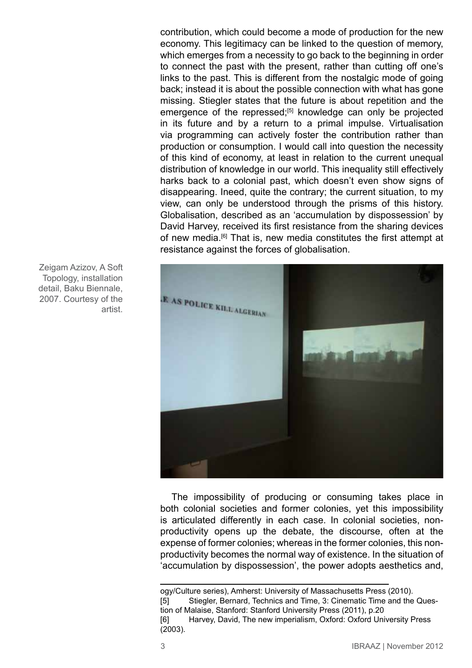contribution, which could become a mode of production for the new economy. This legitimacy can be linked to the question of memory, which emerges from a necessity to go back to the beginning in order to connect the past with the present, rather than cutting off one's links to the past. This is different from the nostalgic mode of going back; instead it is about the possible connection with what has gone missing. Stiegler states that the future is about repetition and the emergence of the repressed;<sup>[5]</sup> knowledge can only be projected in its future and by a return to a primal impulse. Virtualisation via programming can actively foster the contribution rather than production or consumption. I would call into question the necessity of this kind of economy, at least in relation to the current unequal distribution of knowledge in our world. This inequality still effectively harks back to a colonial past, which doesn't even show signs of disappearing. Ineed, quite the contrary; the current situation, to my view, can only be understood through the prisms of this history. Globalisation, described as an 'accumulation by dispossession' by David Harvey, received its first resistance from the sharing devices of new media.<sup>[6]</sup> That is, new media constitutes the first attempt at resistance against the forces of globalisation.



The impossibility of producing or consuming takes place in both colonial societies and former colonies, yet this impossibility is articulated differently in each case. In colonial societies, nonproductivity opens up the debate, the discourse, often at the expense of former colonies; whereas in the former colonies, this nonproductivity becomes the normal way of existence. In the situation of 'accumulation by dispossession', the power adopts aesthetics and,

Zeigam Azizov, A Soft Topology, installation detail, Baku Biennale, 2007. Courtesy of the artist.

ogy/Culture series), Amherst: University of Massachusetts Press (2010). [5] Stiegler, Bernard, Technics and Time, 3: Cinematic Time and the Question of Malaise, Stanford: Stanford University Press (2011), p.20 [6] Harvey, David, The new imperialism, Oxford: Oxford University Press (2003).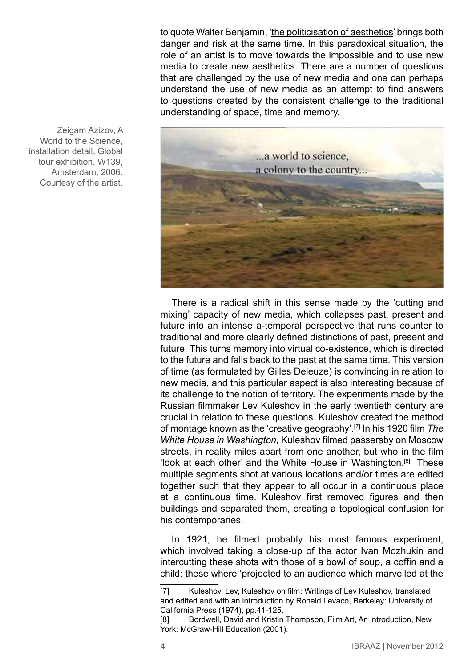to quote Walter Benjamin, '[the politicisation of aesthetics](http://en.wikipedia.org/w/index.php?title=The_politicization_of_aesthetics&action=edit&redlink=1)' brings both danger and risk at the same time. In this paradoxical situation, the role of an artist is to move towards the impossible and to use new media to create new aesthetics. There are a number of questions that are challenged by the use of new media and one can perhaps understand the use of new media as an attempt to find answers to questions created by the consistent challenge to the traditional understanding of space, time and memory.



Zeigam Azizov, A World to the Science, installation detail, Global tour exhibition, W139, Amsterdam, 2006. Courtesy of the artist.

> There is a radical shift in this sense made by the 'cutting and mixing' capacity of new media, which collapses past, present and future into an intense a-temporal perspective that runs counter to traditional and more clearly defined distinctions of past, present and future. This turns memory into virtual co-existence, which is directed to the future and falls back to the past at the same time. This version of time (as formulated by Gilles Deleuze) is convincing in relation to new media, and this particular aspect is also interesting because of its challenge to the notion of territory. The experiments made by the Russian filmmaker Lev Kuleshov in the early twentieth century are crucial in relation to these questions. Kuleshov created the method of montage known as the 'creative geography'.[7] In his 1920 film *The White House in Washington,* Kuleshov filmed passersby on Moscow streets, in reality miles apart from one another, but who in the film 'look at each other' and the White House in Washington.[8] These multiple segments shot at various locations and/or times are edited together such that they appear to all occur in a continuous place at a continuous time. Kuleshov first removed figures and then buildings and separated them, creating a topological confusion for his contemporaries.

> In 1921, he filmed probably his most famous experiment, which involved taking a close-up of the actor Ivan Mozhukin and intercutting these shots with those of a bowl of soup, a coffin and a child: these where 'projected to an audience which marvelled at the

<sup>[7]</sup> Kuleshov, Lev, Kuleshov on film: Writings of Lev Kuleshov, translated and edited and with an introduction by Ronald Levaco, Berkeley: University of California Press (1974), pp.41-125.

<sup>[8]</sup> Bordwell, David and Kristin Thompson, Film Art, An introduction, New York: McGraw-Hill Education (2001).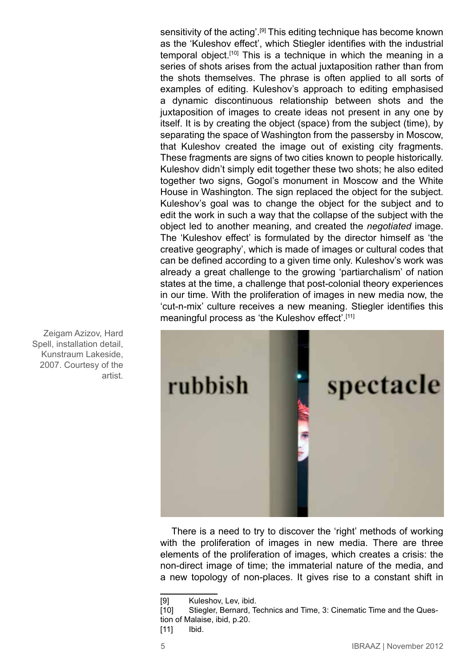sensitivity of the acting'.[9] This editing technique has become known as the 'Kuleshov effect', which Stiegler identifies with the industrial temporal object.<sup>[10]</sup> This is a technique in which the meaning in a series of shots arises from the actual juxtaposition rather than from the shots themselves. The phrase is often applied to all sorts of examples of editing. Kuleshov's approach to editing emphasised a dynamic discontinuous relationship between shots and the juxtaposition of images to create ideas not present in any one by itself. It is by creating the object (space) from the subject (time), by separating the space of Washington from the passersby in Moscow, that Kuleshov created the image out of existing city fragments. These fragments are signs of two cities known to people historically. Kuleshov didn't simply edit together these two shots; he also edited together two signs, Gogol's monument in Moscow and the White House in Washington. The sign replaced the object for the subject. Kuleshov's goal was to change the object for the subject and to edit the work in such a way that the collapse of the subject with the object led to another meaning, and created the *negotiated* image. The 'Kuleshov effect' is formulated by the director himself as 'the creative geography', which is made of images or cultural codes that can be defined according to a given time only. Kuleshov's work was already a great challenge to the growing 'partiarchalism' of nation states at the time, a challenge that post-colonial theory experiences in our time. With the proliferation of images in new media now, the 'cut-n-mix' culture receives a new meaning. Stiegler identifies this meaningful process as 'the Kuleshov effect'.<sup>[11]</sup>



There is a need to try to discover the 'right' methods of working with the proliferation of images in new media. There are three elements of the proliferation of images, which creates a crisis: the non-direct image of time; the immaterial nature of the media, and a new topology of non-places. It gives rise to a constant shift in

Spell, installation detail, Kunstraum Lakeside, 2007. Courtesy of the artist.

Zeigam Azizov, Hard

<sup>[9]</sup> Kuleshov, Lev, ibid.

<sup>[10]</sup> Stiegler, Bernard, Technics and Time, 3: Cinematic Time and the Question of Malaise, ibid, p.20.

<sup>[11]</sup> **Ibid.**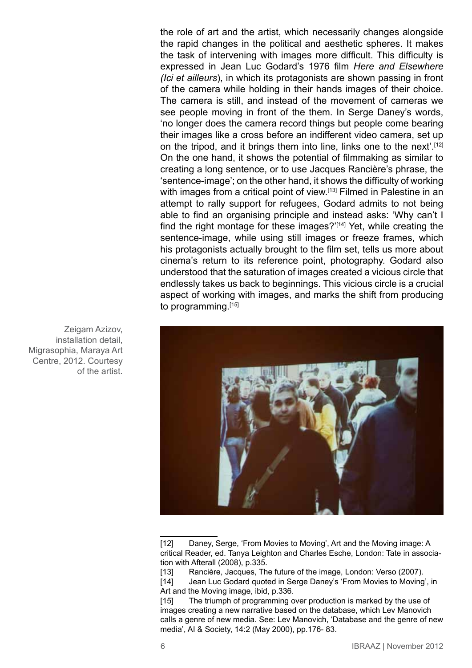the role of art and the artist, which necessarily changes alongside the rapid changes in the political and aesthetic spheres. It makes the task of intervening with images more difficult. This difficulty is expressed in Jean Luc Godard's 1976 film *Here and Elsewhere (Ici et ailleurs*), in which its protagonists are shown passing in front of the camera while holding in their hands images of their choice. The camera is still, and instead of the movement of cameras we see people moving in front of the them. In Serge Daney's words, 'no longer does the camera record things but people come bearing their images like a cross before an indifferent video camera, set up on the tripod, and it brings them into line, links one to the next'.<sup>[12]</sup> On the one hand, it shows the potential of filmmaking as similar to creating a long sentence, or to use Jacques Rancière's phrase, the 'sentence-image'; on the other hand, it shows the difficulty of working with images from a critical point of view.<sup>[13]</sup> Filmed in Palestine in an attempt to rally support for refugees, Godard admits to not being able to find an organising principle and instead asks: 'Why can't I find the right montage for these images?'[14] Yet, while creating the sentence-image, while using still images or freeze frames, which his protagonists actually brought to the film set, tells us more about cinema's return to its reference point, photography. Godard also understood that the saturation of images created a vicious circle that endlessly takes us back to beginnings. This vicious circle is a crucial aspect of working with images, and marks the shift from producing to programming.<sup>[15]</sup>



[12] Daney, Serge, 'From Movies to Moving', Art and the Moving image: A critical Reader, ed. Tanya Leighton and Charles Esche, London: Tate in association with Afterall (2008), p.335.

Zeigam Azizov, installation detail, Migrasophia, Maraya Art Centre, 2012. Courtesy of the artist.

<sup>[13]</sup> Rancière, Jacques, The future of the image, London: Verso (2007).

<sup>[14]</sup> Jean Luc Godard quoted in Serge Daney's 'From Movies to Moving', in Art and the Moving image, ibid, p.336.

<sup>[15]</sup> The triumph of programming over production is marked by the use of images creating a new narrative based on the database, which Lev Manovich calls a genre of new media. See: Lev Manovich, 'Database and the genre of new media', AI & Society, 14:2 (May 2000), pp.176- 83.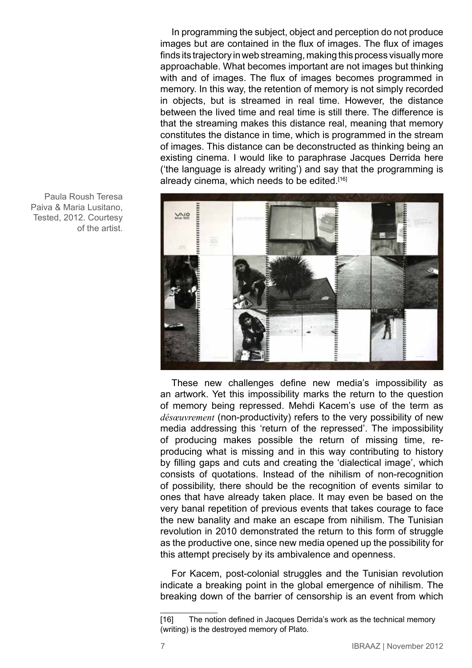In programming the subject, object and perception do not produce images but are contained in the flux of images. The flux of images finds its trajectory in web streaming, making this process visually more approachable. What becomes important are not images but thinking with and of images. The flux of images becomes programmed in memory. In this way, the retention of memory is not simply recorded in objects, but is streamed in real time. However, the distance between the lived time and real time is still there. The difference is that the streaming makes this distance real, meaning that memory constitutes the distance in time, which is programmed in the stream of images. This distance can be deconstructed as thinking being an existing cinema. I would like to paraphrase Jacques Derrida here ('the language is already writing') and say that the programming is already cinema, which needs to be edited.<sup>[16]</sup>



These new challenges define new media's impossibility as an artwork. Yet this impossibility marks the return to the question of memory being repressed. Mehdi Kacem's use of the term as *désœuvrement* (non-productivity) refers to the very possibility of new media addressing this 'return of the repressed'. The impossibility of producing makes possible the return of missing time, reproducing what is missing and in this way contributing to history by filling gaps and cuts and creating the 'dialectical image', which consists of quotations. Instead of the nihilism of non-recognition of possibility, there should be the recognition of events similar to ones that have already taken place. It may even be based on the very banal repetition of previous events that takes courage to face the new banality and make an escape from nihilism. The Tunisian revolution in 2010 demonstrated the return to this form of struggle as the productive one, since new media opened up the possibility for this attempt precisely by its ambivalence and openness.

For Kacem, post-colonial struggles and the Tunisian revolution indicate a breaking point in the global emergence of nihilism. The breaking down of the barrier of censorship is an event from which

Paula Roush Teresa Paiva & Maria Lusitano, Tested, 2012. Courtesy of the artist.

<sup>[16]</sup> The notion defined in Jacques Derrida's work as the technical memory (writing) is the destroyed memory of Plato.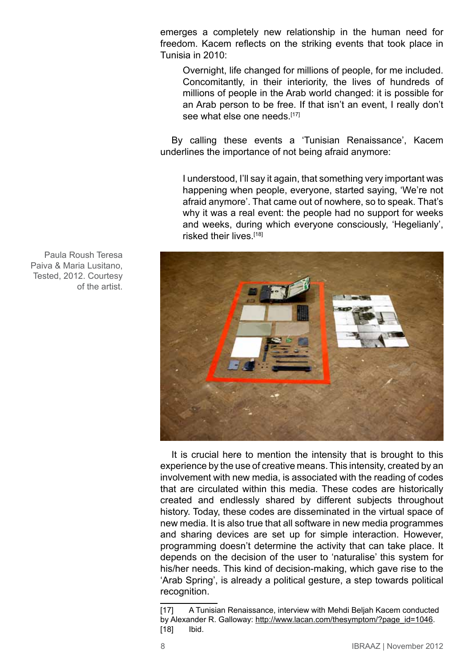emerges a completely new relationship in the human need for freedom. Kacem reflects on the striking events that took place in Tunisia in 2010:

Overnight, life changed for millions of people, for me included. Concomitantly, in their interiority, the lives of hundreds of millions of people in the Arab world changed: it is possible for an Arab person to be free. If that isn't an event, I really don't see what else one needs.<sup>[17]</sup>

By calling these events a 'Tunisian Renaissance', Kacem underlines the importance of not being afraid anymore:

I understood, I'll say it again, that something very important was happening when people, everyone, started saying, 'We're not afraid anymore'. That came out of nowhere, so to speak. That's why it was a real event: the people had no support for weeks and weeks, during which everyone consciously, 'Hegelianly', risked their lives.<sup>[18]</sup>



It is crucial here to mention the intensity that is brought to this experience by the use of creative means. This intensity, created by an involvement with new media, is associated with the reading of codes that are circulated within this media. These codes are historically created and endlessly shared by different subjects throughout history. Today, these codes are disseminated in the virtual space of new media. It is also true that all software in new media programmes and sharing devices are set up for simple interaction. However, programming doesn't determine the activity that can take place. It depends on the decision of the user to 'naturalise' this system for his/her needs. This kind of decision-making, which gave rise to the 'Arab Spring', is already a political gesture, a step towards political recognition.

Paula Roush Teresa Paiva & Maria Lusitano, Tested, 2012. Courtesy of the artist.

<sup>[17]</sup> A Tunisian Renaissance, interview with Mehdi Beljah Kacem conducted by Alexander R. Galloway: [http://www.lacan.com/thesymptom/?page\\_id=1046](http://www.lacan.com/thesymptom/?page_id=1046). [18] **Ibid.**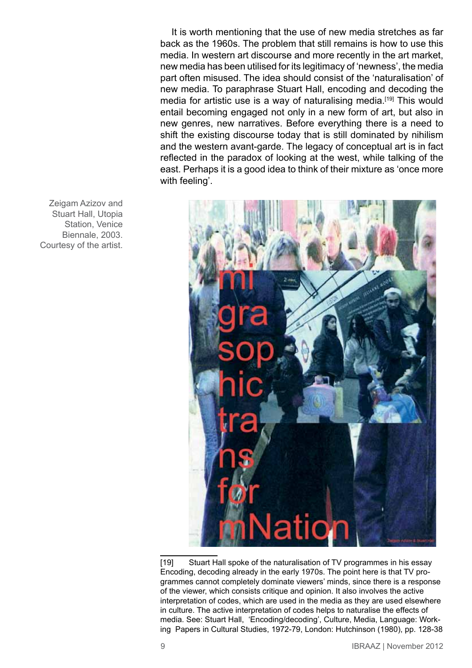It is worth mentioning that the use of new media stretches as far back as the 1960s. The problem that still remains is how to use this media. In western art discourse and more recently in the art market, new media has been utilised for its legitimacy of 'newness', the media part often misused. The idea should consist of the 'naturalisation' of new media. To paraphrase Stuart Hall, encoding and decoding the media for artistic use is a way of naturalising media.<sup>[19]</sup> This would entail becoming engaged not only in a new form of art, but also in new genres, new narratives. Before everything there is a need to shift the existing discourse today that is still dominated by nihilism and the western avant-garde. The legacy of conceptual art is in fact reflected in the paradox of looking at the west, while talking of the east. Perhaps it is a good idea to think of their mixture as 'once more with feeling'.



[19] Stuart Hall spoke of the naturalisation of TV programmes in his essay Encoding, decoding already in the early 1970s. The point here is that TV programmes cannot completely dominate viewers' minds, since there is a response of the viewer, which consists critique and opinion. It also involves the active interpretation of codes, which are used in the media as they are used elsewhere in culture. The active interpretation of codes helps to naturalise the effects of media. See: Stuart Hall, 'Encoding/decoding', Culture, Media, Language: Working Papers in Cultural Studies, 1972-79, London: Hutchinson (1980), pp. 128-38

Zeigam Azizov and Stuart Hall, Utopia Station, Venice Biennale, 2003. Courtesy of the artist.